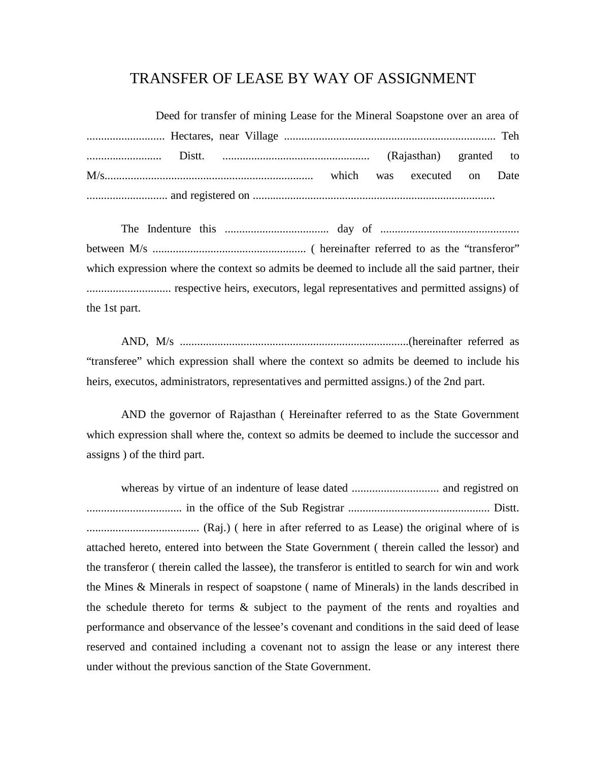## TRANSFER OF LEASE BY WAY OF ASSIGNMENT

| Deed for transfer of mining Lease for the Mineral Soapstone over an area of |  |  |  |  |  |  |  |  |
|-----------------------------------------------------------------------------|--|--|--|--|--|--|--|--|
|                                                                             |  |  |  |  |  |  |  |  |
|                                                                             |  |  |  |  |  |  |  |  |
|                                                                             |  |  |  |  |  |  |  |  |
|                                                                             |  |  |  |  |  |  |  |  |

The Indenture this .................................... day of ................................................ between M/s ..................................................... ( hereinafter referred to as the "transferor" which expression where the context so admits be deemed to include all the said partner, their ............................. respective heirs, executors, legal representatives and permitted assigns) of the 1st part.

AND, M/s ...............................................................................(hereinafter referred as "transferee" which expression shall where the context so admits be deemed to include his heirs, executos, administrators, representatives and permitted assigns.) of the 2nd part.

AND the governor of Rajasthan ( Hereinafter referred to as the State Government which expression shall where the, context so admits be deemed to include the successor and assigns ) of the third part.

whereas by virtue of an indenture of lease dated .............................. and registred on ................................. in the office of the Sub Registrar ................................................. Distt. ....................................... (Raj.) ( here in after referred to as Lease) the original where of is attached hereto, entered into between the State Government ( therein called the lessor) and the transferor ( therein called the lassee), the transferor is entitled to search for win and work the Mines & Minerals in respect of soapstone ( name of Minerals) in the lands described in the schedule thereto for terms & subject to the payment of the rents and royalties and performance and observance of the lessee's covenant and conditions in the said deed of lease reserved and contained including a covenant not to assign the lease or any interest there under without the previous sanction of the State Government.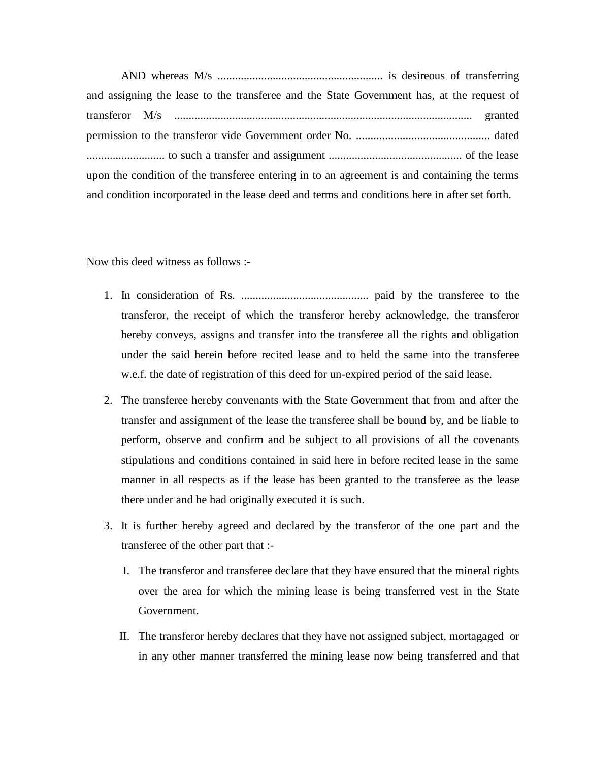AND whereas M/s ......................................................... is desireous of transferring and assigning the lease to the transferee and the State Government has, at the request of transferor M/s ....................................................................................................... granted permission to the transferor vide Government order No. .............................................. dated ........................... to such a transfer and assignment .............................................. of the lease upon the condition of the transferee entering in to an agreement is and containing the terms and condition incorporated in the lease deed and terms and conditions here in after set forth.

Now this deed witness as follows :-

- 1. In consideration of Rs. ............................................ paid by the transferee to the transferor, the receipt of which the transferor hereby acknowledge, the transferor hereby conveys, assigns and transfer into the transferee all the rights and obligation under the said herein before recited lease and to held the same into the transferee w.e.f. the date of registration of this deed for un-expired period of the said lease.
- 2. The transferee hereby convenants with the State Government that from and after the transfer and assignment of the lease the transferee shall be bound by, and be liable to perform, observe and confirm and be subject to all provisions of all the covenants stipulations and conditions contained in said here in before recited lease in the same manner in all respects as if the lease has been granted to the transferee as the lease there under and he had originally executed it is such.
- 3. It is further hereby agreed and declared by the transferor of the one part and the transferee of the other part that :-
	- I. The transferor and transferee declare that they have ensured that the mineral rights over the area for which the mining lease is being transferred vest in the State Government.
	- II. The transferor hereby declares that they have not assigned subject, mortagaged or in any other manner transferred the mining lease now being transferred and that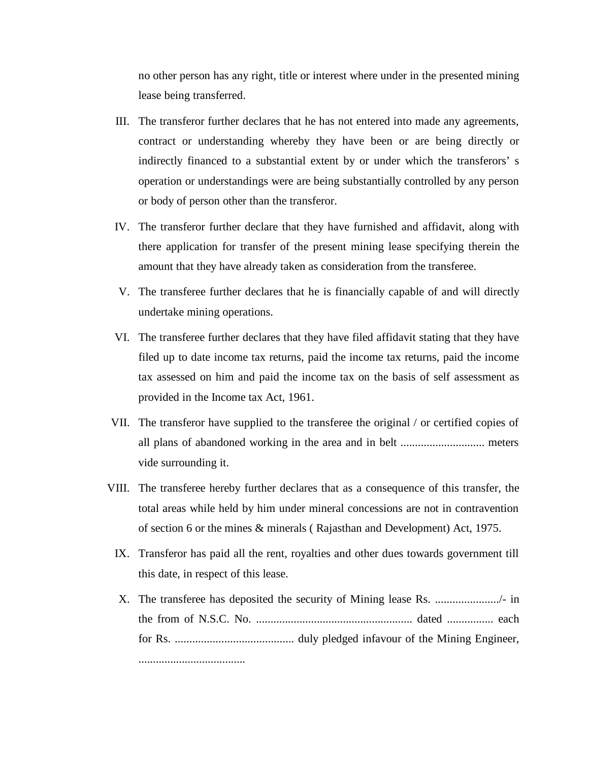no other person has any right, title or interest where under in the presented mining lease being transferred.

- III. The transferor further declares that he has not entered into made any agreements, contract or understanding whereby they have been or are being directly or indirectly financed to a substantial extent by or under which the transferors' s operation or understandings were are being substantially controlled by any person or body of person other than the transferor.
- IV. The transferor further declare that they have furnished and affidavit, along with there application for transfer of the present mining lease specifying therein the amount that they have already taken as consideration from the transferee.
- V. The transferee further declares that he is financially capable of and will directly undertake mining operations.
- VI. The transferee further declares that they have filed affidavit stating that they have filed up to date income tax returns, paid the income tax returns, paid the income tax assessed on him and paid the income tax on the basis of self assessment as provided in the Income tax Act, 1961.
- VII. The transferor have supplied to the transferee the original / or certified copies of all plans of abandoned working in the area and in belt ............................. meters vide surrounding it.
- VIII. The transferee hereby further declares that as a consequence of this transfer, the total areas while held by him under mineral concessions are not in contravention of section 6 or the mines & minerals ( Rajasthan and Development) Act, 1975.
	- IX. Transferor has paid all the rent, royalties and other dues towards government till this date, in respect of this lease.
	- X. The transferee has deposited the security of Mining lease Rs. ....................../- in the from of N.S.C. No. ...................................................... dated ................ each for Rs. ......................................... duly pledged infavour of the Mining Engineer, .....................................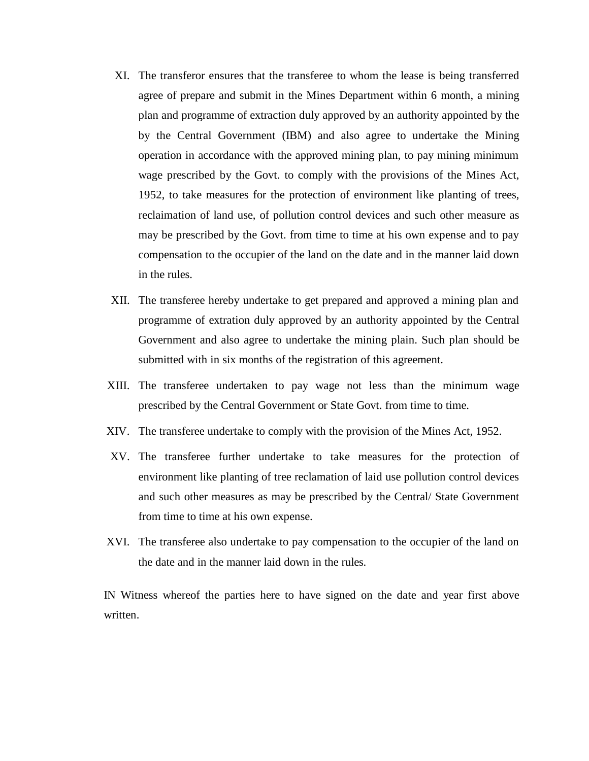- XI. The transferor ensures that the transferee to whom the lease is being transferred agree of prepare and submit in the Mines Department within 6 month, a mining plan and programme of extraction duly approved by an authority appointed by the by the Central Government (IBM) and also agree to undertake the Mining operation in accordance with the approved mining plan, to pay mining minimum wage prescribed by the Govt. to comply with the provisions of the Mines Act, 1952, to take measures for the protection of environment like planting of trees, reclaimation of land use, of pollution control devices and such other measure as may be prescribed by the Govt. from time to time at his own expense and to pay compensation to the occupier of the land on the date and in the manner laid down in the rules.
- XII. The transferee hereby undertake to get prepared and approved a mining plan and programme of extration duly approved by an authority appointed by the Central Government and also agree to undertake the mining plain. Such plan should be submitted with in six months of the registration of this agreement.
- XIII. The transferee undertaken to pay wage not less than the minimum wage prescribed by the Central Government or State Govt. from time to time.
- XIV. The transferee undertake to comply with the provision of the Mines Act, 1952.
- XV. The transferee further undertake to take measures for the protection of environment like planting of tree reclamation of laid use pollution control devices and such other measures as may be prescribed by the Central/ State Government from time to time at his own expense.
- XVI. The transferee also undertake to pay compensation to the occupier of the land on the date and in the manner laid down in the rules.

IN Witness whereof the parties here to have signed on the date and year first above written.